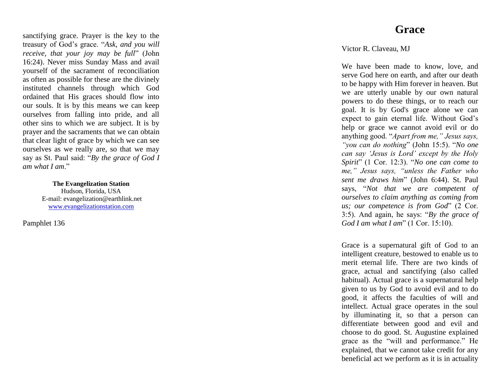sanctifying grace. Prayer is the key to the treasury of God's grace. "*Ask, and you will receive, that your joy may be full*" (John 16:24). Never miss Sunday Mass and avail yourself of the sacrament of reconciliation as often as possible for these are the divinely instituted channels through which God ordained that His graces should flow into our souls. It is by this means we can keep ourselves from falling into pride, and all other sins to which we are subject. It is by prayer and the sacraments that we can obtain that clear light of grace by which we can see ourselves as we really are, so that we may say as St. Paul said: "*By the grace of God I am what I am*."

> **The Evangelization Station** Hudson, Florida, USA E -mail: evangelization@earthlink.net [www.evangelizationstation.com](http://www.pjpiisoe.org/)

Pamphlet 13 6

## **Grace**

Victor R. Claveau, MJ

We have been made to know, love, and serve God here on earth, and after our death to be happy with Him forever in heaven. But we are utterly unable by our own natural powers to do these things, or to reach our goal. It is by God's grace alone we can expect to gain eternal life. Without God's help or grace we cannot avoid evil or do anything good. "*Apart from me," Jesus says, "you can do nothing*" (John 15:5). "*No one can say 'Jesus is Lord' except by the Holy Spirit*" (1 Cor. 12:3). "*No one can come to me," Jesus says, "unless the Father who sent me draws him* " (John 6:44). St. Paul says, "*Not that we are competent of ourselves to claim anything as coming from us; our competence is from God*" (2 Cor. 3:5). And again, he says: "*By the grace of God I am what I am*" (1 Cor. 15:10).

Grace is a supernatural gift of God to an intelligent creature, bestowed to enable us to merit eternal life. There are two kinds of grace, actual and sanctifying (also called habitual). Actual grace is a supernatural help given to us by God to avoid evil and to do good, it affects the faculties of will and intellect. Actual grace operates in the soul by illuminating it, so that a person can differentiate between good and evil and choose to do good. St. Augustine explained grace as the "will and performance." He explained, that we cannot take credit for any beneficial act we perform as it is in actuality